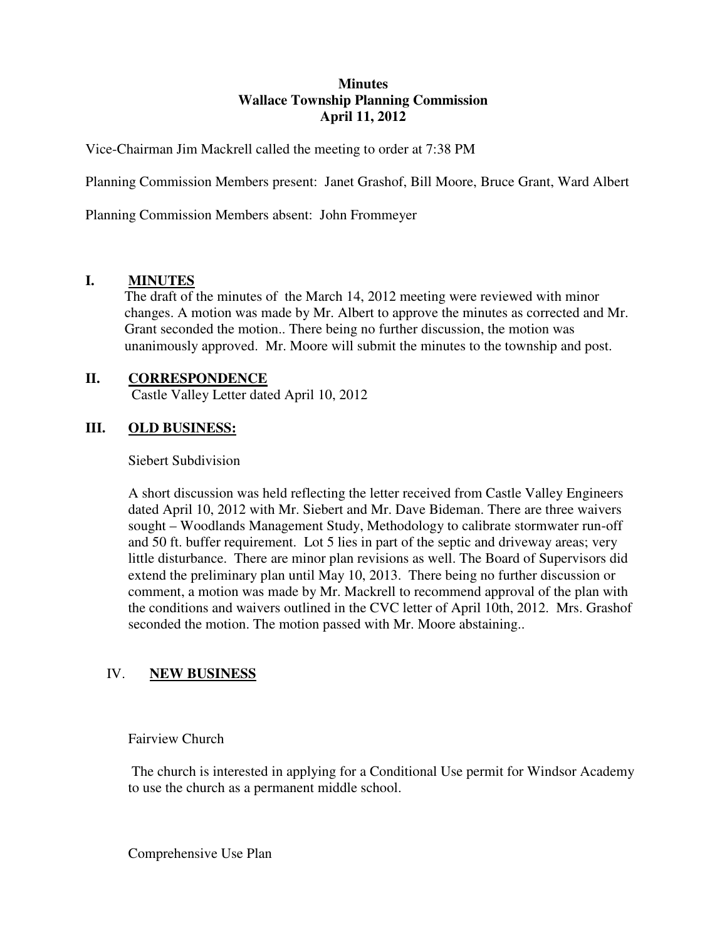#### **Minutes Wallace Township Planning Commission April 11, 2012**

Vice-Chairman Jim Mackrell called the meeting to order at 7:38 PM

Planning Commission Members present: Janet Grashof, Bill Moore, Bruce Grant, Ward Albert

Planning Commission Members absent: John Frommeyer

### **I. MINUTES**

The draft of the minutes of the March 14, 2012 meeting were reviewed with minor changes. A motion was made by Mr. Albert to approve the minutes as corrected and Mr. Grant seconded the motion.. There being no further discussion, the motion was unanimously approved. Mr. Moore will submit the minutes to the township and post.

### **II. CORRESPONDENCE**

Castle Valley Letter dated April 10, 2012

### **III. OLD BUSINESS:**

Siebert Subdivision

A short discussion was held reflecting the letter received from Castle Valley Engineers dated April 10, 2012 with Mr. Siebert and Mr. Dave Bideman. There are three waivers sought – Woodlands Management Study, Methodology to calibrate stormwater run-off and 50 ft. buffer requirement. Lot 5 lies in part of the septic and driveway areas; very little disturbance. There are minor plan revisions as well. The Board of Supervisors did extend the preliminary plan until May 10, 2013. There being no further discussion or comment, a motion was made by Mr. Mackrell to recommend approval of the plan with the conditions and waivers outlined in the CVC letter of April 10th, 2012. Mrs. Grashof seconded the motion. The motion passed with Mr. Moore abstaining..

## IV. **NEW BUSINESS**

Fairview Church

 The church is interested in applying for a Conditional Use permit for Windsor Academy to use the church as a permanent middle school.

Comprehensive Use Plan